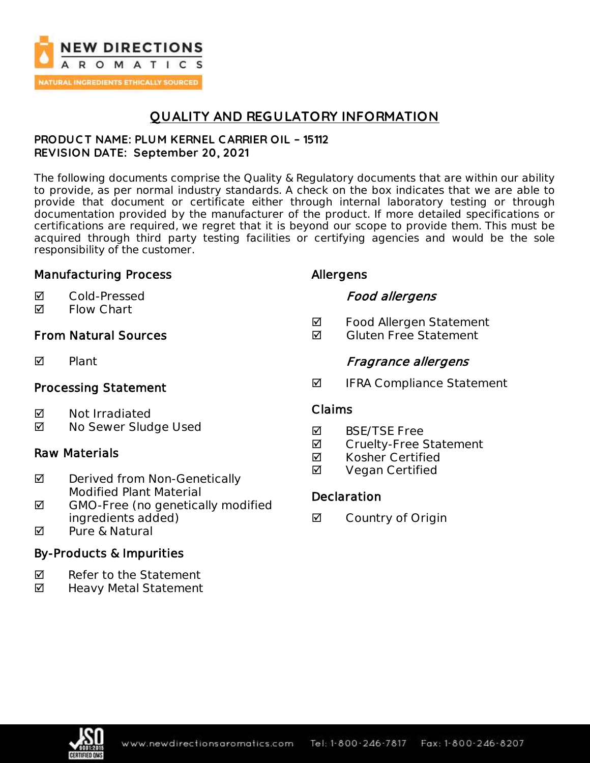

## **QUALITY AND REGULATORY INFORMATION**

### **PRODUC T NAME: PLUM KERNEL C ARRIER OIL – 15112 REVISION DATE: September 20, 2021**

The following documents comprise the Quality & Regulatory documents that are within our ability to provide, as per normal industry standards. A check on the box indicates that we are able to provide that document or certificate either through internal laboratory testing or through documentation provided by the manufacturer of the product. If more detailed specifications or certifications are required, we regret that it is beyond our scope to provide them. This must be acquired through third party testing facilities or certifying agencies and would be the sole responsibility of the customer.

## Manufacturing Process

### Cold-Pressed

**Ø** Flow Chart

## From Natural Sources

 $\nabla$  Plant

## Processing Statement

- **Ø** Not Irradiated
- No Sewer Sludge Used

## Raw Materials

- $\boxtimes$  Derived from Non-Genetically Modified Plant Material
- ◘ GMO-Free (no genetically modified ingredients added)
- $\overline{M}$  Pure & Natural

## By-Products & Impurities

- $\nabla$  Refer to the Statement
- Heavy Metal Statement

## Allergens

## Food allergens

- **Ø** Food Allergen Statement
- $\blacksquare$  Gluten Free Statement

## Fragrance allergens

 $\blacksquare$  IFRA Compliance Statement

### Claims

- **M** BSF/TSF Free
- **Ø** Cruelty-Free Statement
- **Ø** Kosher Certified
- **Ø** Vegan Certified

## **Declaration**

**☑** Country of Origin

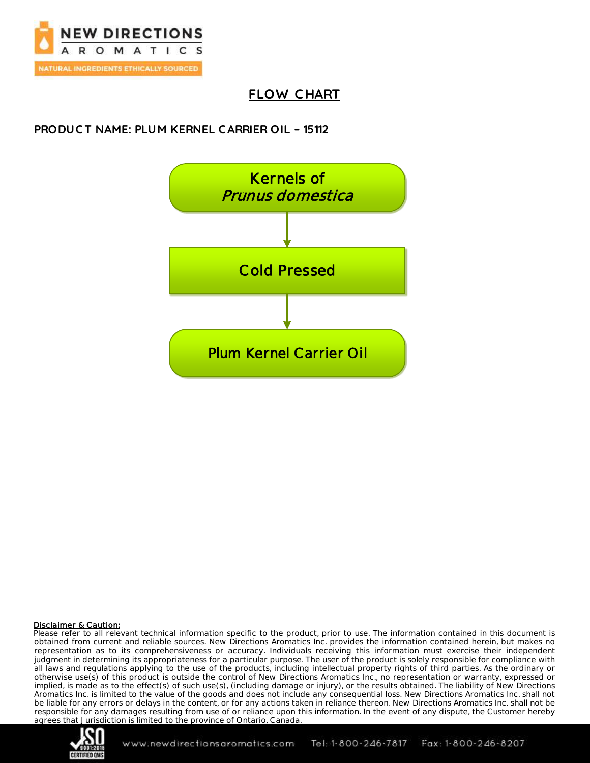

# **FLOW C HART**

## **PRODUC T NAME: PLUM KERNEL C ARRIER OIL – 15112**



#### Disclaimer & Caution:

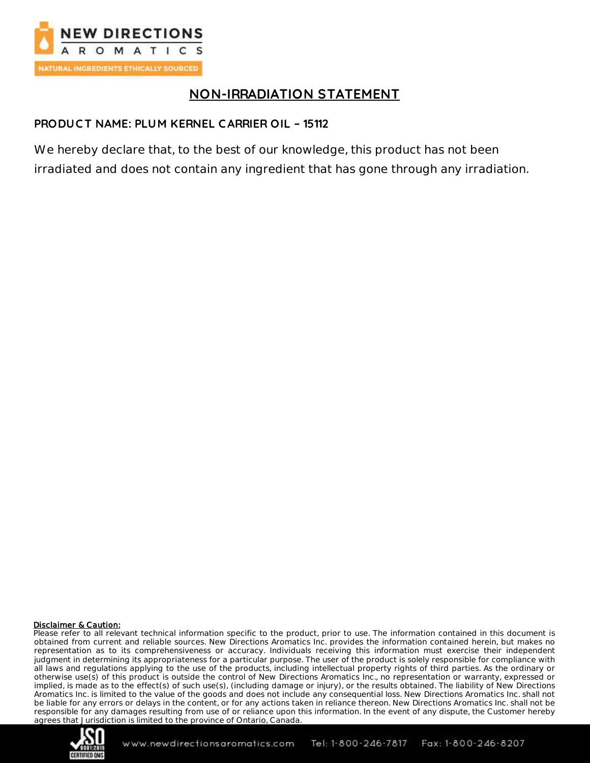

# **NON-IRRADIATION STATEMENT**

### **PRODUC T NAME: PLUM KERNEL C ARRIER OIL – 15112**

We hereby declare that, to the best of our knowledge, this product has not been irradiated and does not contain any ingredient that has gone through any irradiation.

#### Disclaimer & Caution:

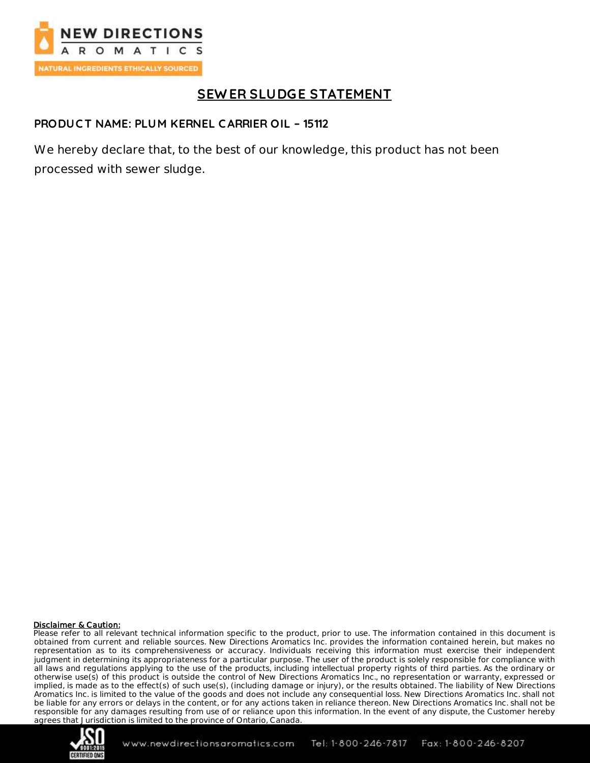

# **SEW ER SLUDGE STATEMENT**

### **PRODUC T NAME: PLUM KERNEL C ARRIER OIL – 15112**

We hereby declare that, to the best of our knowledge, this product has not been processed with sewer sludge.

#### Disclaimer & Caution:

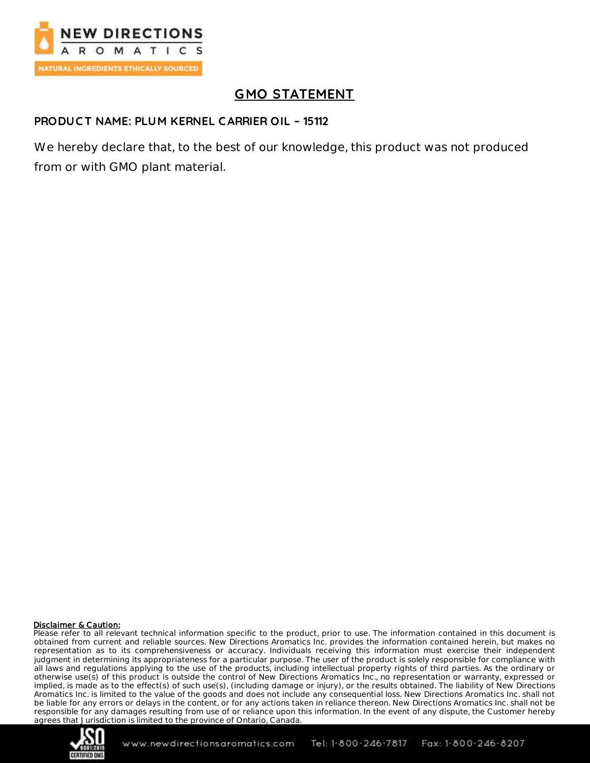

# **GMO STATEMENT**

### **PRODUC T NAME: PLUM KERNEL C ARRIER OIL – 15112**

We hereby declare that, to the best of our knowledge, this product was not produced from or with GMO plant material.

#### Disclaimer & Caution:

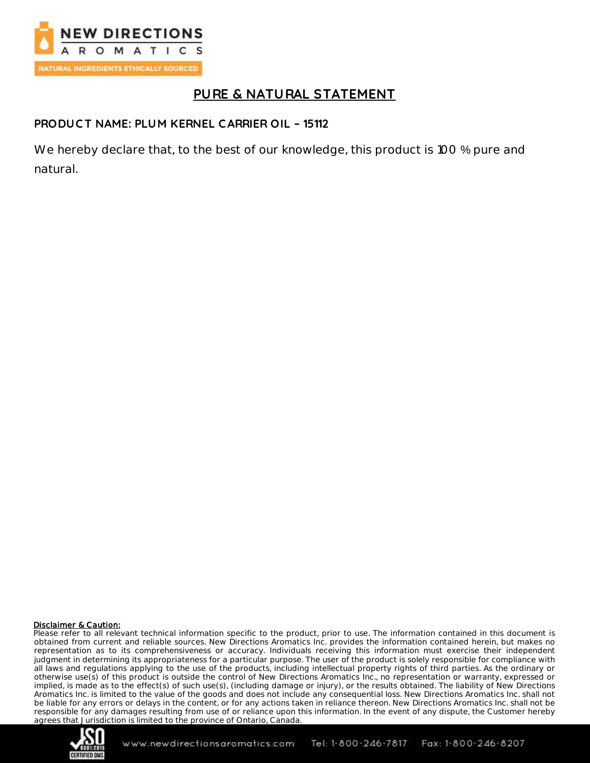

# **PURE & NATURAL STATEMENT**

### **PRODUC T NAME: PLUM KERNEL C ARRIER OIL – 15112**

We hereby declare that, to the best of our knowledge, this product is 100 % pure and natural.

#### Disclaimer & Caution:

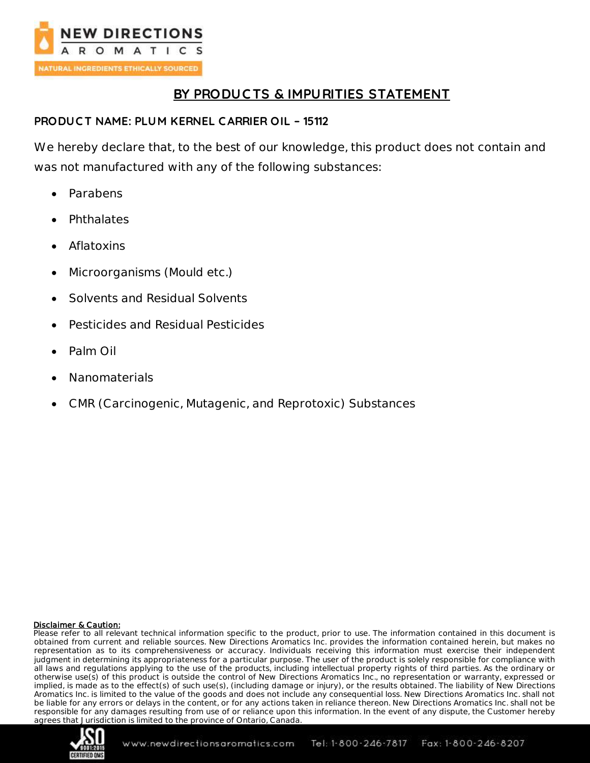

# **BY PRODUC TS & IMPURITIES STATEMENT**

### **PRODUC T NAME: PLUM KERNEL C ARRIER OIL – 15112**

We hereby declare that, to the best of our knowledge, this product does not contain and was not manufactured with any of the following substances:

- Parabens
- Phthalates
- Aflatoxins
- Microorganisms (Mould etc.)
- Solvents and Residual Solvents
- Pesticides and Residual Pesticides
- Palm Oil
- Nanomaterials
- CMR (Carcinogenic, Mutagenic, and Reprotoxic) Substances

#### Disclaimer & Caution:

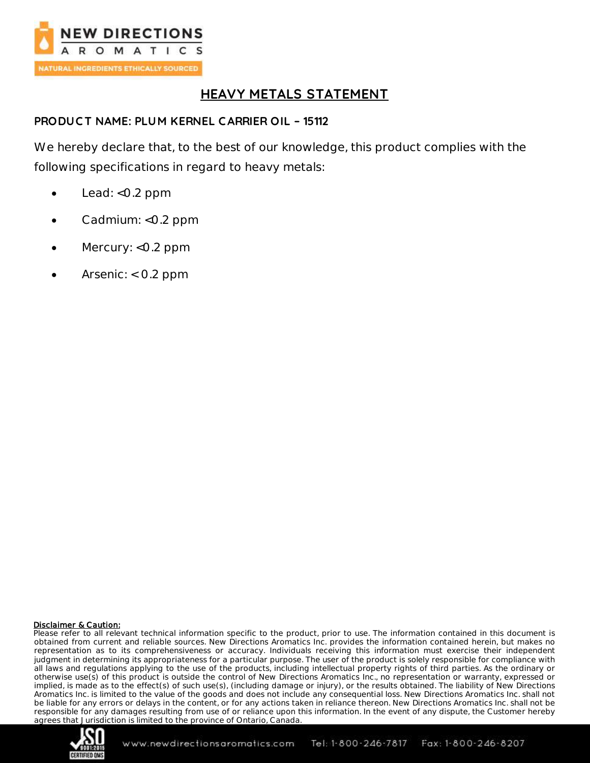

## **HEAVY METALS STATEMENT**

### **PRODUC T NAME: PLUM KERNEL C ARRIER OIL – 15112**

We hereby declare that, to the best of our knowledge, this product complies with the following specifications in regard to heavy metals:

- Lead: <0.2 ppm
- Cadmium: <0.2 ppm
- Mercury: <0.2 ppm
- Arsenic: < 0.2 ppm

#### Disclaimer & Caution:

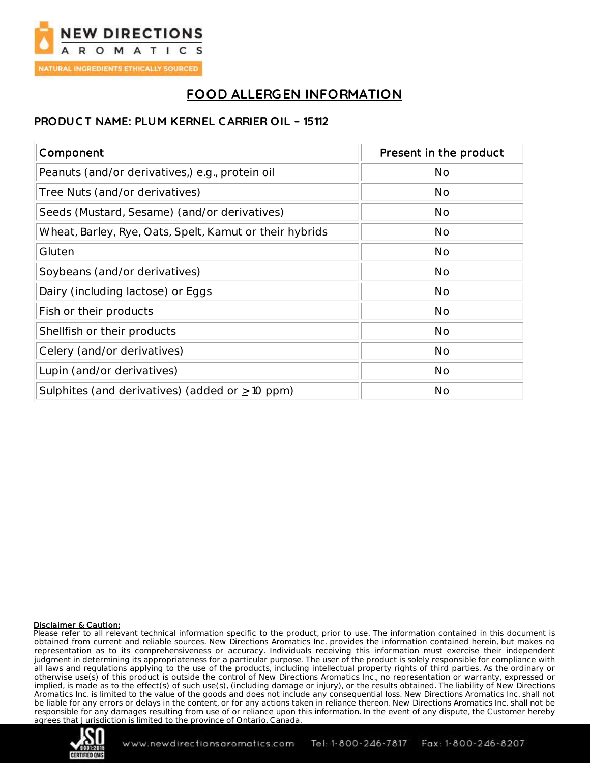

# **FOOD ALLERGEN INFORMATION**

### **PRODUC T NAME: PLUM KERNEL C ARRIER OIL – 15112**

| Component                                               | Present in the product |
|---------------------------------------------------------|------------------------|
| Peanuts (and/or derivatives,) e.g., protein oil         | <b>No</b>              |
| Tree Nuts (and/or derivatives)                          | No                     |
| Seeds (Mustard, Sesame) (and/or derivatives)            | No                     |
| Wheat, Barley, Rye, Oats, Spelt, Kamut or their hybrids | <b>No</b>              |
| Gluten                                                  | <b>No</b>              |
| Soybeans (and/or derivatives)                           | <b>No</b>              |
| Dairy (including lactose) or Eggs                       | <b>No</b>              |
| Fish or their products                                  | No                     |
| Shellfish or their products                             | No                     |
| Celery (and/or derivatives)                             | No                     |
| Lupin (and/or derivatives)                              | <b>No</b>              |
| Sulphites (and derivatives) (added or $\geq$ 10 ppm)    | No                     |

#### Disclaimer & Caution:

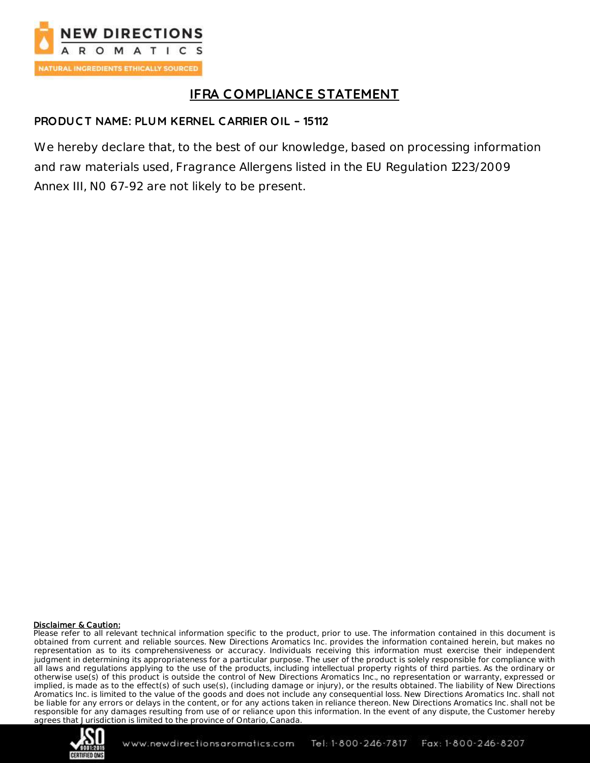

# **IFRA C OMPLIANCE STATEMENT**

### **PRODUC T NAME: PLUM KERNEL C ARRIER OIL – 15112**

We hereby declare that, to the best of our knowledge, based on processing information and raw materials used, Fragrance Allergens listed in the EU Regulation 1223/2009 Annex III, N0 67-92 are not likely to be present.

#### Disclaimer & Caution:

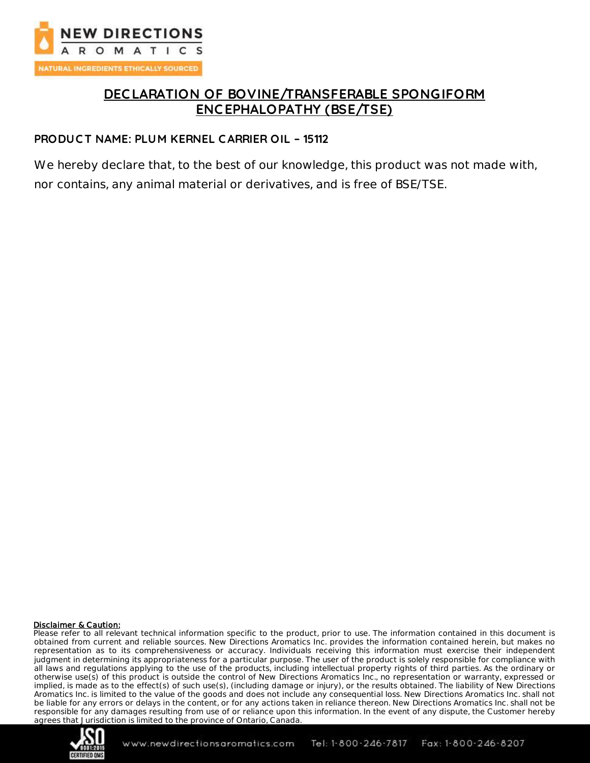

## **DEC LARATION OF BOVINE/TRANSFERABLE SPONGIFORM ENC EPHALOPATHY (BSE/TSE)**

### **PRODUC T NAME: PLUM KERNEL C ARRIER OIL – 15112**

We hereby declare that, to the best of our knowledge, this product was not made with, nor contains, any animal material or derivatives, and is free of BSE/TSE.

#### Disclaimer & Caution:

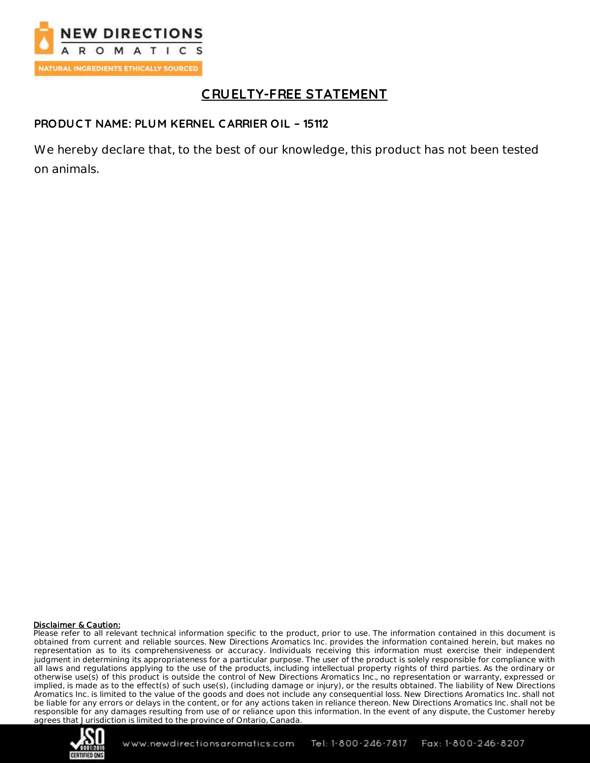

# **C RUELTY-FREE STATEMENT**

### **PRODUC T NAME: PLUM KERNEL C ARRIER OIL – 15112**

We hereby declare that, to the best of our knowledge, this product has not been tested on animals.

#### Disclaimer & Caution:

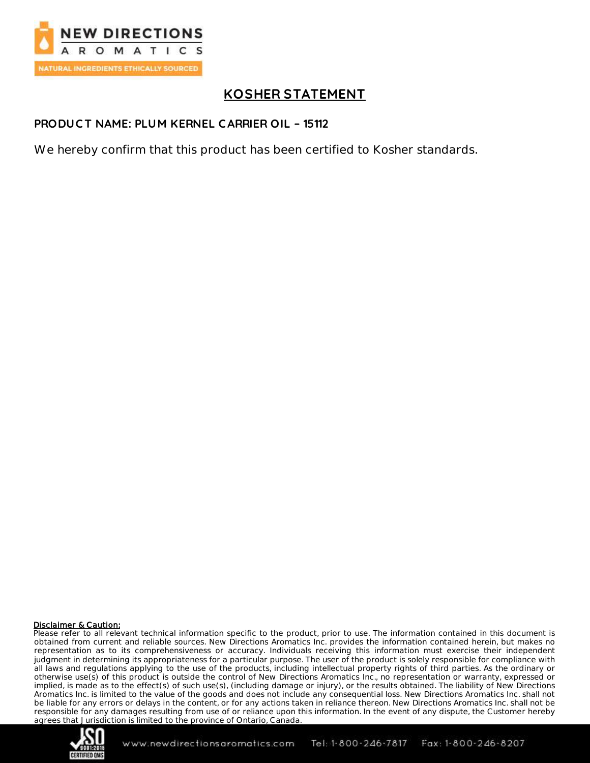

# **KOSHER STATEMENT**

### **PRODUC T NAME: PLUM KERNEL C ARRIER OIL – 15112**

We hereby confirm that this product has been certified to Kosher standards.

#### Disclaimer & Caution:

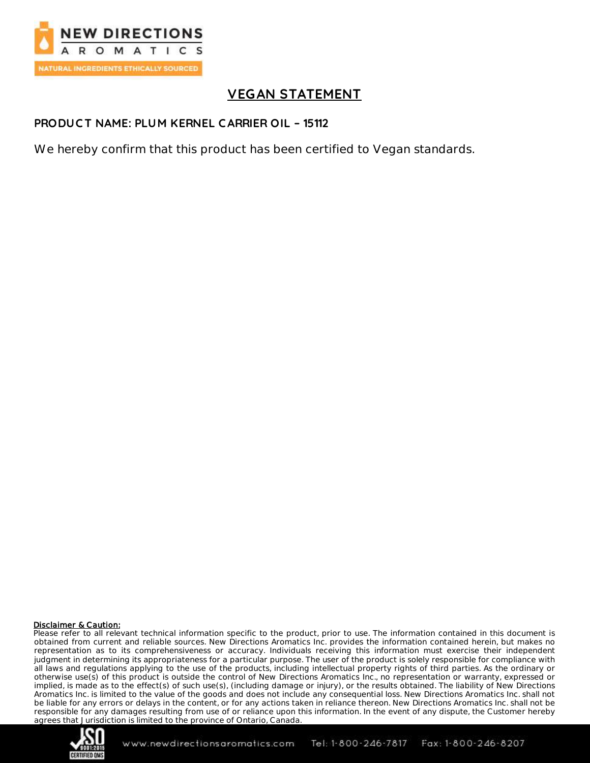

# **VEGAN STATEMENT**

### **PRODUC T NAME: PLUM KERNEL C ARRIER OIL – 15112**

We hereby confirm that this product has been certified to Vegan standards.

#### Disclaimer & Caution: